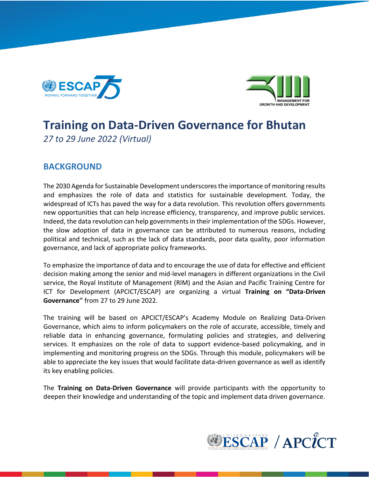



# **Training on Data-Driven Governance for Bhutan** *27 to 29 June 2022 (Virtual)*

### **BACKGROUND**

The 2030 Agenda for Sustainable Development underscores the importance of monitoring results and emphasizes the role of data and statistics for sustainable development. Today, the widespread of ICTs has paved the way for a data revolution. This revolution offers governments new opportunities that can help increase efficiency, transparency, and improve public services. Indeed, the data revolution can help governments in their implementation of the SDGs. However, the slow adoption of data in governance can be attributed to numerous reasons, including political and technical, such as the lack of data standards, poor data quality, poor information governance, and lack of appropriate policy frameworks.

To emphasize the importance of data and to encourage the use of data for effective and efficient decision making among the senior and mid-level managers in different organizations in the Civil service, the Royal Institute of Management (RIM) and the Asian and Pacific Training Centre for ICT for Development (APCICT/ESCAP) are organizing a virtual **Training on "Data-Driven Governance''** from 27 to 29 June 2022.

The training will be based on APCICT/ESCAP's Academy Module on Realizing Data-Driven Governance, which aims to inform policymakers on the role of accurate, accessible, timely and reliable data in enhancing governance, formulating policies and strategies, and delivering services. It emphasizes on the role of data to support evidence-based policymaking, and in implementing and monitoring progress on the SDGs. Through this module, policymakers will be able to appreciate the key issues that would facilitate data-driven governance as well as identify its key enabling policies.

The **Training on Data-Driven Governance** will provide participants with the opportunity to deepen their knowledge and understanding of the topic and implement data driven governance.

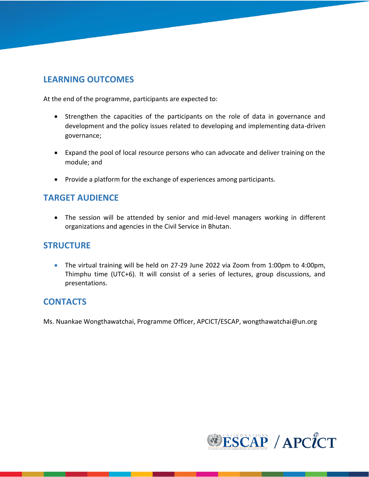## **LEARNING OUTCOMES**

At the end of the programme, participants are expected to:

- Strengthen the capacities of the participants on the role of data in governance and development and the policy issues related to developing and implementing data-driven governance;
- Expand the pool of local resource persons who can advocate and deliver training on the module; and
- Provide a platform for the exchange of experiences among participants.

## **TARGET AUDIENCE**

• The session will be attended by senior and mid-level managers working in different organizations and agencies in the Civil Service in Bhutan.

#### **STRUCTURE**

• The virtual training will be held on 27-29 June 2022 via Zoom from 1:00pm to 4:00pm, Thimphu time (UTC+6). It will consist of a series of lectures, group discussions, and presentations.

#### **CONTACTS**

Ms. Nuankae Wongthawatchai, Programme Officer, APCICT/ESCAP, wongthawatchai@un.org